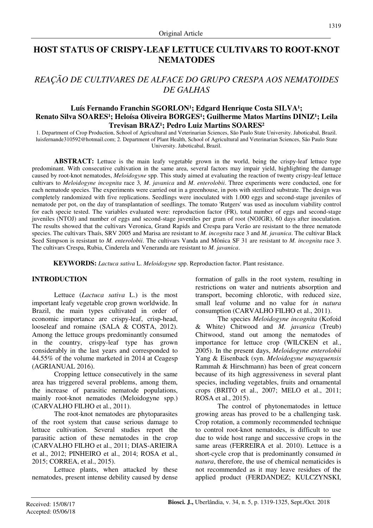# **HOST STATUS OF CRISPY-LEAF LETTUCE CULTIVARS TO ROOT-KNOT NEMATODES**

# *REAÇÃO DE CULTIVARES DE ALFACE DO GRUPO CRESPA AOS NEMATOIDES DE GALHAS*

### Luís Fernando Franchin SGORLON<sup>1</sup>; Edgard Henrique Costa SILVA<sup>1</sup>; Renato Silva SOARES<sup>1</sup>; Heloísa Oliveira BORGES<sup>1</sup>; Guilherme Matos Martins DINIZ<sup>1</sup>; Leila Trevisan BRAZ<sup>1</sup>; Pedro Luiz Martins SOARES<sup>2</sup>

1. Department of Crop Production, School of Agricultural and Veterinarian Sciences, São Paulo State University. Jaboticabal, Brazil. luisfernande310592@hotmail.com; 2. Department of Plant Health, School of Agricultural and Veterinarian Sciences, São Paulo State University. Jaboticabal, Brazil.

**ABSTRACT:** Lettuce is the main leafy vegetable grown in the world, being the crispy-leaf lettuce type predominant. With consecutive cultivation in the same area, several factors may impair yield, highlighting the damage caused by root-knot nematodes, *Meloidogyne* spp. This study aimed at evaluating the reaction of twenty crispy-leaf lettuce cultivars to *Meloidogyne incognita* race 3*, M*. *javanica* and *M*. *enterolobii*. Three experiments were conducted, one for each nematode species. The experiments were carried out in a greenhouse, in pots with sterilized substrate. The design was completely randomized with five replications. Seedlings were inoculated with 1.000 eggs and second-stage juveniles of nematode per pot, on the day of transplantation of seedlings. The tomato 'Rutgers' was used as inoculum viability control for each specie tested. The variables evaluated were: reproduction factor (FR), total number of eggs and second-stage juveniles (NTOJ) and number of eggs and second-stage juveniles per gram of root (NOJGR), 60 days after inoculation. The results showed that the cultivars Veronica, Grand Rapids and Crespa para Verão are resistant to the three nematode species. The cultivars Thaís, SRV 2005 and Marisa are resistant to *M. incognita* race 3 and *M. javanica*. The cultivar Black Seed Simpson is resistant to *M. enterolobii*. The cultivars Vanda and Mônica SF 31 are resistant to *M. incognita* race 3. The cultivars Crespa, Rubia, Cinderela and Veneranda are resistant to *M. javanica*.

**KEYWORDS:** *Lactuca sativa* L. *Meloidogyne* spp. Reproduction factor. Plant resistance.

#### **INTRODUCTION**

Lettuce (*Lactuca sativa* L.) is the most important leafy vegetable crop grown worldwide. In Brazil, the main types cultivated in order of economic importance are crispy-leaf, crisp-head, looseleaf and romaine (SALA & COSTA, 2012). Among the lettuce groups predominantly consumed in the country, crispy-leaf type has grown considerably in the last years and corresponded to 44.55% of the volume marketed in 2014 at Ceagesp (AGRIANUAL 2016).

Cropping lettuce consecutively in the same area has triggered several problems, among them, the increase of parasitic nematode populations, mainly root-knot nematodes (Meloidogyne spp.) (CARVALHO FILHO et al., 2011).

The root-knot nematodes are phytoparasites of the root system that cause serious damage to lettuce cultivation. Several studies report the parasitic action of these nematodes in the crop (CARVALHO FILHO et al., 2011; DIAS-ARIEIRA et al., 2012; PINHEIRO et al., 2014; ROSA et al., 2015; CORREA, et al., 2015).

Lettuce plants, when attacked by these nematodes, present intense debility caused by dense formation of galls in the root system, resulting in restrictions on water and nutrients absorption and transport, becoming chlorotic, with reduced size, small leaf volume and no value for *in natura* consumption (CARVALHO FILHO et al., 2011).

The species *Meloidogyne incognita* (Kofoid & White) Chitwood and *M. javanica* (Treub) Chitwood, stand out among the nematodes of importance for lettuce crop (WILCKEN et al., 2005). In the present days, *Meloidogyne enterolobii* Yang & Eisenback (syn. *Meloidogyne mayaguensis* Rammah & Hirschmann) has been of great concern because of its high aggressiveness in several plant species, including vegetables, fruits and ornamental crops (BRITO et al., 2007; MELO et al., 2011; ROSA et al., 2015).

The control of phytonematodes in lettuce growing areas has proved to be a challenging task. Crop rotation, a commonly recommended technique to control root-knot nematodes, is difficult to use due to wide host range and successive crops in the same areas (FERREIRA et al. 2010). Lettuce is a short-cycle crop that is predominantly consumed *in natura*, therefore, the use of chemical nematicides is not recommended as it may leave residues of the applied product (FERDANDEZ; KULCZYNSKI,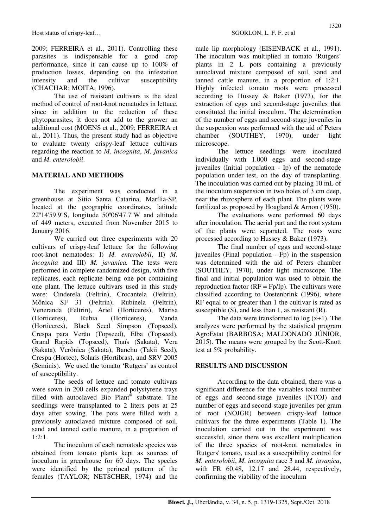2009; FERREIRA et al., 2011). Controlling these parasites is indispensable for a good crop performance, since it can cause up to 100% of production losses, depending on the infestation intensity and the cultivar susceptibility (CHACHAR; MOITA, 1996).

The use of resistant cultivars is the ideal method of control of root-knot nematodes in lettuce, since in addition to the reduction of these phytoparasites, it does not add to the grower an additional cost (MOENS et al., 2009; FERREIRA et al., 2011). Thus, the present study had as objective to evaluate twenty crispy-leaf lettuce cultivars regarding the reaction to *M. incognita*, *M. javanica* and *M. enterolobii*.

## **MATERIAL AND METHODS**

The experiment was conducted in a greenhouse at Sitio Santa Catarina, Marília-SP, located at the geographic coordinates, latitude 22º14'59.9''S, longitude 50º06'47.7''W and altitude of 449 meters, executed from November 2015 to January 2016.

We carried out three experiments with 20 cultivars of crispy-leaf lettuce for the following root-knot nematodes: I) *M. enterolobii*, II) *M. incognita* and III) *M. javanica.* The tests were performed in complete randomized design, with five replicates, each replicate being one pot containing one plant. The lettuce cultivars used in this study were: Cinderela (Feltrin), Crocantela (Feltrin), Mônica SF 31 (Feltrin), Rubinela (Feltrin), Veneranda (Feltrin), Ariel (Horticeres), Marisa (Horticeres), Rubia (Horticeres), Vanda (Horticeres), Black Seed Simpson (Topseed), Crespa para Verão (Topseed), Elba (Topseed), Grand Rapids (Topseed), Thaís (Sakata), Vera (Sakata), Verônica (Sakata), Banchu (Takii Seed), Crespa (Hortec), Solaris (Hortibras), and SRV 2005 (Seminis). We used the tomato 'Rutgers' as control of susceptibility.

The seeds of lettuce and tomato cultivars were sown in 200 cells expanded polystyrene trays filled with autoclaved Bio Plant® substrate. The seedlings were transplanted to 2 liters pots at 25 days after sowing. The pots were filled with a previously autoclaved mixture composed of soil, sand and tanned cattle manure, in a proportion of 1:2:1.

The inoculum of each nematode species was obtained from tomato plants kept as sources of inoculum in greenhouse for 60 days. The species were identified by the perineal pattern of the females (TAYLOR; NETSCHER, 1974) and the male lip morphology (EISENBACK et al., 1991). The inoculum was multiplied in tomato 'Rutgers' plants in 2 L pots containing a previously autoclaved mixture composed of soil, sand and tanned cattle manure, in a proportion of 1:2:1. Highly infected tomato roots were processed according to Hussey & Baker (1973), for the extraction of eggs and second-stage juveniles that constituted the initial inoculum. The determination of the number of eggs and second-stage juveniles in the suspension was performed with the aid of Peters chamber (SOUTHEY, 1970), under light microscope.

The lettuce seedlings were inoculated individually with 1.000 eggs and second-stage juveniles (Initial population - Ip) of the nematode population under test, on the day of transplanting. The inoculation was carried out by placing 10 mL of the inoculum suspension in two holes of 3 cm deep, near the rhizosphere of each plant. The plants were fertilized as proposed by Hoagland & Arnon (1950).

The evaluations were performed 60 days after inoculation. The aerial part and the root system of the plants were separated. The roots were processed according to Hussey & Baker (1973).

The final number of eggs and second-stage juveniles (Final population - Fp) in the suspension was determined with the aid of Peters chamber (SOUTHEY, 1970), under light microscope. The final and initial population was used to obtain the reproduction factor  $(RF = Fp/Ip)$ . The cultivars were classified according to Oostenbrink (1996), where RF equal to or greater than 1 the cultivar is rated as susceptible  $(S)$ , and less than 1, as resistant  $(R)$ .

The data were transformed to  $log(x+1)$ . The analyzes were performed by the statistical program AgroEstat (BARBOSA; MALDONADO JÚNIOR, 2015). The means were grouped by the Scott-Knott test at 5% probability.

## **RESULTS AND DISCUSSION**

According to the data obtained, there was a significant difference for the variables total number of eggs and second-stage juveniles (NTOJ) and number of eggs and second-stage juveniles per gram of root (NOJGR) between crispy-leaf lettuce cultivars for the three experiments (Table 1). The inoculation carried out in the experiment was successful, since there was excellent multiplication of the three species of root-knot nematodes in 'Rutgers' tomato, used as a susceptibility control for *M. enterolobii*, *M. incognita* race 3 and *M. javanica*, with FR 60.48, 12.17 and 28.44, respectively, confirming the viability of the inoculum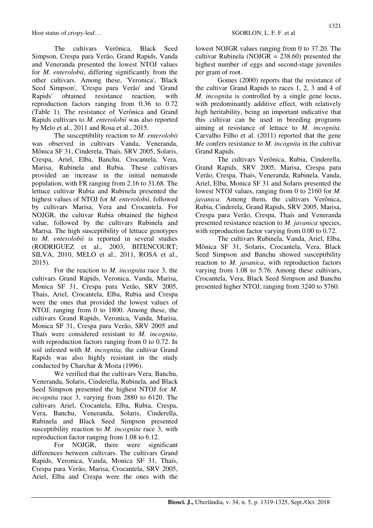for *M. enterolobii*, differing significantly from the other cultivars. Among these, 'Veronica', 'Black Seed Simpson', 'Crespa para Verão' and 'Grand Rapids' obtained resistance reaction, with reproduction factors ranging from 0.36 to 0.72 (Table 1). The resistance of Verônica and Grand Rapids cultivars to *M. enterolobii* was also reported by Melo et al., 2011 and Rosa et al., 2015.

The susceptibility reaction to *M. enterolobii* was observed in cultivars Vanda, Veneranda, Mônica SF 31, Cinderela, Thaís, SRV 2005, Solaris, Crespa, Ariel, Elba, Banchu, Crocantela, Vera, Marisa, Rubinela and Rubia. These cultivars provided an increase in the initial nematode population, with FR ranging from 2.16 to 31.68. The lettuce cultivar Rubia and Rubinela presented the highest values of NTOJ for *M. enterolobii*, followed by cultivars Marisa, Vera and Crocantela. For NOJGR, the cultivar Rubia obtained the highest value, followed by the cultivars Rubinela and Marisa. The high susceptibility of lettuce genotypes to *M. enterolobii* is reported in several studies (RODRIGUEZ et al., 2003, BITENCOURT; SILVA, 2010, MELO et al., 2011, ROSA et al., 2015).

For the reaction to *M. incognita* race 3, the cultivars Grand Rapids, Veronica, Vanda, Marisa, Monica SF 31, Crespa para Verão, SRV 2005, Thais, Ariel, Crocantela, Elba, Rubia and Crespa were the ones that provided the lowest values of NTOJ, ranging from 0 to 1800. Among these, the cultivars Grand Rapids, Veronica, Vanda, Marisa, Monica SF 31, Crespa para Verão, SRV 2005 and Thaís were considered resistant to *M. incognita*, with reproduction factors ranging from 0 to 0.72. In soil infested with *M. incognita,* the cultivar Grand Rapids was also highly resistant in the study conducted by Charchar & Moita (1996).

We verified that the cultivars Vera, Banchu, Veneranda, Solaris, Cinderella, Rubinela, and Black Seed Simpson presented the highest NTOJ for *M. incognita* race 3, varying from 2880 to 6120. The cultivars Ariel, Crocantela, Elba, Rubia, Crespa, Vera, Banchu, Veneranda, Solaris, Cinderella, Rubinela and Black Seed Simpson presented susceptibility reaction to *M. incognita* race 3, with reproduction factor ranging from 1.08 to 6.12.

For NOJGR, there were significant differences between cultivars. The cultivars Grand Rapids, Veronica, Vanda, Monica SF 31, Thaís, Crespa para Verão, Marisa, Crocantela, SRV 2005, Ariel, Elba and Crespa were the ones with the lowest NOJGR values ranging from 0 to 37.20. The cultivar Rubinela (NOJGR =  $238.60$ ) presented the highest number of eggs and second-stage juveniles per gram of root.

Gomes (2000) reports that the resistance of the cultivar Grand Rapids to races 1, 2, 3 and 4 of *M. incognita* is controlled by a single gene locus, with predominantly additive effect, with relatively high heritability, being an important indicative that this cultivar can be used in breeding programs aiming at resistance of lettuce to *M. incognita.*  Carvalho Filho et al. (2011) reported that the gene *Me* confers resistance to *M. incognita* in the cultivar Grand Rapids.

The cultivars Verônica, Rubia, Cinderella, Grand Rapids, SRV 2005, Marisa, Crespa para Verão, Crespa, Thaís, Veneranda, Rubinela, Vanda, Ariel, Elba, Monica SF 31 and Solaris presented the lowest NTOJ values, ranging from 0 to 2160 for *M. javanica*. Among them, the cultivars Verônica, Rubia, Cinderela, Grand Rapids, SRV 2005, Marisa, Crespa para Verão, Crespa, Thaís and Veneranda presented resistance reaction to *M. javanica* species, with reproduction factor varying from 0.00 to 0.72.

The cultivars Rubinela, Vanda, Ariel, Elba, Mônica SF 31, Solaris, Crocantela, Vera, Black Seed Simpson and Banchu showed susceptibility reaction to *M. javanica*, with reproduction factors varying from 1.08 to 5.76. Among these cultivars, Crocantela, Vera, Black Seed Simpson and Banchu presented higher NTOJ, ranging from 3240 to 5760.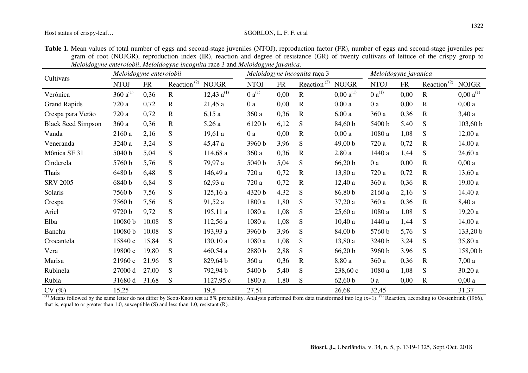Host status of crispy-leaf...<br>SGORLON, L. F. F. et al.

| Table 1. Mean values of total number of eggs and second-stage juveniles (NTOJ), reproduction factor (FR), number of eggs and second-stage juveniles per |
|---------------------------------------------------------------------------------------------------------------------------------------------------------|
| gram of root (NOJGR), reproduction index (IR), reaction and degree of resistance (GR) of twenty cultivars of lettuce of the crispy group to             |
| Meloidogyne enterolobii, Meloidogyne incognita race 3 and Meloidogyne javanica.                                                                         |

|                           | Meloidogyne enterolobii |           |                         |                 | Meloidogyne incognita raça 3 |            |                         |                        | Meloidogyne javanica |           |                         |                        |
|---------------------------|-------------------------|-----------|-------------------------|-----------------|------------------------------|------------|-------------------------|------------------------|----------------------|-----------|-------------------------|------------------------|
| Cultivars                 | <b>NTOJ</b>             | <b>FR</b> | Reaction <sup>(2)</sup> | <b>NOJGR</b>    | <b>NTOJ</b>                  | ${\sf FR}$ | Reaction <sup>(2)</sup> | <b>NOJGR</b>           | <b>NTOJ</b>          | <b>FR</b> | Reaction <sup>(2)</sup> | <b>NOJGR</b>           |
| Verônica                  | 360 $a^{(1)}$           | 0,36      | $\mathbf R$             | 12,43 $a^{(1)}$ | $0a^{(1)}$                   | 0,00       | $\mathbf R$             | $0,00 \text{ a}^{(1)}$ | $0 a^{(1)}$          | 0,00      | $\mathbf R$             | $0,00 \text{ a}^{(1)}$ |
| <b>Grand Rapids</b>       | 720 a                   | 0,72      | $\mathbf R$             | 21,45a          | 0a                           | 0,00       | $\mathbf R$             | 0,00a                  | 0a                   | 0,00      | $\mathbf R$             | 0,00a                  |
| Crespa para Verão         | 720 a                   | 0,72      | $\mathbf R$             | 6,15a           | 360 a                        | 0,36       | $\mathbf R$             | 6,00a                  | 360 a                | 0,36      | $\mathbf R$             | 3,40a                  |
| <b>Black Seed Simpson</b> | 360a                    | 0,36      | $\mathbf R$             | 5,26a           | 6120 b                       | 6,12       | S                       | 84,60 b                | 5400 b               | 5,40      | ${\bf S}$               | 103,60 b               |
| Vanda                     | 2160 a                  | 2,16      | S                       | 19,61a          | 0a                           | 0,00       | $\mathbf R$             | 0,00a                  | 1080 a               | 1,08      | S                       | 12,00a                 |
| Veneranda                 | 3240 a                  | 3,24      | S                       | 45,47 a         | 3960 b                       | 3,96       | S                       | 49,00 b                | 720 a                | 0,72      | $\mathbf R$             | 14,00a                 |
| Mônica SF 31              | 5040 b                  | 5,04      | S                       | 114,68 a        | 360 a                        | 0,36       | $\mathbf R$             | 2,80a                  | 1440 a               | 1,44      | S                       | 24,60a                 |
| Cinderela                 | 5760 b                  | 5,76      | S                       | 79,97 a         | 5040 b                       | 5,04       | S                       | 66,20 b                | 0a                   | 0,00      | $\mathbf R$             | 0,00a                  |
| Thaís                     | 6480 b                  | 6,48      | S                       | 146,49 a        | 720 a                        | 0,72       | $\mathbf R$             | 13,80a                 | 720 a                | 0,72      | $\mathbf R$             | 13,60a                 |
| <b>SRV 2005</b>           | 6840 b                  | 6,84      | S                       | 62,93 a         | 720 a                        | 0,72       | $\mathbf R$             | 12,40a                 | 360a                 | 0,36      | $\mathbf R$             | 19,00a                 |
| Solaris                   | 7560 b                  | 7,56      | S                       | 125,16a         | 4320 b                       | 4,32       | S                       | 86,80 b                | 2160 a               | 2,16      | S                       | 14,40a                 |
| Crespa                    | 7560 b                  | 7,56      | S                       | 91,52 a         | 1800 a                       | 1,80       | S                       | 37,20a                 | 360 a                | 0,36      | $\mathbf R$             | 8,40 a                 |
| Ariel                     | 9720 b                  | 9,72      | S                       | 195,11a         | 1080a                        | 1,08       | S                       | 25,60a                 | 1080a                | 1,08      | S                       | 19,20a                 |
| Elba                      | 10080 b                 | 10,08     | S                       | 112,56 a        | 1080 a                       | 1,08       | S                       | 10,40a                 | 1440 a               | 1,44      | S                       | 14,00a                 |
| Banchu                    | 10080 b                 | 10,08     | S                       | 193,93 a        | 3960 b                       | 3,96       | S                       | 84,00 b                | 5760 b               | 5,76      | S                       | 133,20 b               |
| Crocantela                | 15840 с                 | 15,84     | S                       | 130, 10a        | 1080a                        | 1,08       | S                       | 13,80a                 | 3240 b               | 3,24      | S                       | 35,80a                 |
| Vera                      | 19800 с                 | 19,80     | S                       | 460,54a         | 2880 b                       | 2,88       | S                       | 66,20 b                | 3960 b               | 3,96      | S                       | 158,00 b               |
| Marisa                    | 21960c                  | 21,96     | S                       | 829,64 b        | 360a                         | 0,36       | $\mathbf R$             | 8,80 a                 | 360a                 | 0,36      | $\mathbf R$             | 7,00a                  |
| Rubinela                  | 27000 d                 | 27,00     | S                       | 792,94 b        | 5400 b                       | 5,40       | S                       | 238,60c                | 1080 a               | 1,08      | S                       | 30,20a                 |
| Rubia                     | 31680 d                 | 31,68     | S                       | 1127,95c        | 1800 a                       | 1,80       | S                       | 62,60 b                | 0a                   | 0,00      | $\mathbf R$             | 0,00a                  |
| CV(%)                     | 15,25                   |           |                         | 19,5            | 27,51                        |            |                         | 26,68                  | 32,45                |           |                         | 31,37                  |

 $\frac{\text{CV}(\%)}{\text{Means}$  followed by the same letter do not differ by Scott-Knott test at 5% probability. Analysis performed from data transformed into log (x+1). <sup>(2)</sup> Reaction, according to Oostenbrink (1966), that is, equal to or greater than 1.0, susceptible  $(S)$  and less than 1.0, resistant  $(R)$ .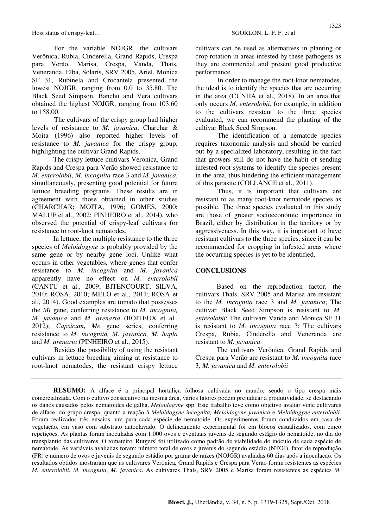For the variable NOJGR, the cultivars Verônica, Rubia, Cinderella, Grand Rapids, Crespa para Verão, Marisa, Crespa, Vanda, Thaís, Veneranda, Elba, Solaris, SRV 2005, Ariel, Monica SF 31, Rubinela and Crocantela presented the lowest NOJGR, ranging from 0.0 to 35.80. The Black Seed Simpson, Banchu and Vera cultivars obtained the highest NOJGR, ranging from 103.60 to 158.00.

The cultivars of the crispy group had higher levels of resistance to *M. javanica*. Charchar & Moita (1996) also reported higher levels of resistance to *M. javanica* for the crispy group, highlighting the cultivar Grand Rapids.

The crispy lettuce cultivars Veronica, Grand Rapids and Crespa para Verão showed resistance to *M. enterolobii*, *M. incognita* race 3 and *M. javanica*, simultaneously, presenting good potential for future lettuce breeding programs. These results are in agreement with those obtained in other studies (CHARCHAR; MOITA, 1996; GOMES, 2000; MALUF et al., 2002; PINHEIRO et al., 2014), who observed the potential of crispy-leaf cultivars for resistance to root-knot nematodes.

In lettuce, the multiple resistance to the three species of *Meloidogyne* is probably provided by the same gene or by nearby gene loci. Unlike what occurs in other vegetables, where genes that confer resistance to *M. incognita* and *M. javanica* apparently have no effect on *M. enterolobii*  (CANTU et al., 2009; BITENCOURT; SILVA, 2010; ROSA, 2010; MELO et al., 2011; ROSA et al., 2014). Good examples are tomato that possesses the *Mi* gene, conferring resistance to *M. incognita, M. javanica* and *M. arenaria* (BOITEUX et al., 2012); *Capsicum*, *Me* gene series, conferring resistance to *M. incognita, M. javanica, M. hapla* and *M. arenaria* (PINHEIRO et al., 2015).

Besides the possibility of using the resistant cultivars in lettuce breeding aiming at resistance to root-knot nematodes, the resistant crispy lettuce cultivars can be used as alternatives in planting or crop rotation in areas infested by these pathogens as they are commercial and present good productive performance.

In order to manage the root-knot nematodes, the ideal is to identify the species that are occurring in the area (CUNHA et al., 2018). In an area that only occurs *M. enterolobii*, for example, in addition to the cultivars resistant to the three species evaluated, we can recommend the planting of the cultivar Black Seed Simpson.

The identification of a nematode species requires taxonomic analysis and should be carried out by a specialized laboratory, resulting in the fact that growers still do not have the habit of sending infested root systems to identify the species present in the area, thus hindering the efficient management of this parasite (COLLANGE et al., 2011).

Thus, it is important that cultivars are resistant to as many root-knot nematode species as possible. The three species evaluated in this study are those of greater socioeconomic importance in Brazil, either by distribution in the territory or by aggressiveness. In this way, it is important to have resistant cultivars to the three species, since it can be recommended for cropping in infested areas where the occurring species is yet to be identified.

#### **CONCLUSIONS**

Based on the reproduction factor, the cultivars Thaís, SRV 2005 and Marisa are resistant to the *M. incognita* race 3 and *M. javanica*; The cultivar Black Seed Simpson is resistant to *M. enterolobii*; The cultivars Vanda and Monica SF 31 is resistant to *M. incognita* race 3; The cultivars Crespa, Rubia, Cinderella and Veneranda are resistant to *M. javanica*.

The cultivars Verônica, Grand Rapids and Crespa para Verão are resistant to *M. incognita* race 3*, M. javanica* and *M. enterolobii*

**RESUMO:** A alface é a principal hortaliça folhosa cultivada no mundo, sendo o tipo crespa mais comercializada. Com o cultivo consecutivo na mesma área, vários fatores podem prejudicar a produtividade, se destacando os danos causados pelos nematoides de galha, *Meloidogyne* spp. Este trabalho teve como objetivo avaliar vinte cultivares de alface, do grupo crespa, quanto a reação à *Meloidogyne incognita, Meloidogyne javanica* e *Meloidogyne enterolobii*. Foram realizados três ensaios, um para cada espécie de nematoide. Os experimentos foram conduzidos em casa de vegetação, em vaso com substrato autoclavado. O delineamento experimental foi em blocos casualizados, com cinco repetições. As plantas foram inoculadas com 1.000 ovos e eventuais juvenis de segundo estágio do nematoide, no dia do transplantio das cultivares. O tomateiro 'Rutgers' foi utilizado como padrão de viabilidade do inóculo de cada espécie de nematoide. As variáveis avaliadas foram: número total de ovos e juvenis do segundo estádio (NTOJ), fator de reprodução (FR) e número de ovos e juvenis de segundo estádio por grama de raízes (NOJGR) avaliadas 60 dias após a inoculação. Os resultados obtidos mostraram que as cultivares Verônica, Grand Rapids e Crespa para Verão foram resistentes as espécies *M. enterolobii*, *M. incognita*, *M. javanica*. As cultivares Thaís, SRV 2005 e Marisa foram resistentes as espécies *M.*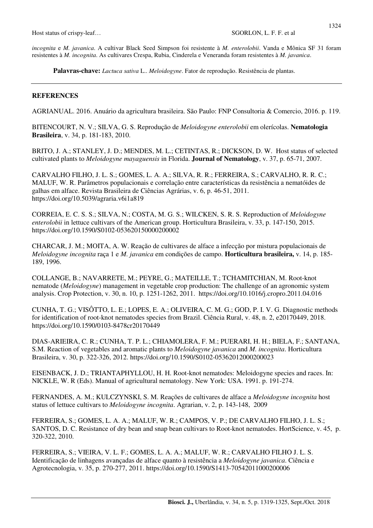Host status of crispy-leaf...<br>
SGORLON, L. F. F. et al.

*incognita* e *M. javanica*. A cultivar Black Seed Simpson foi resistente à *M. enterolobii*. Vanda e Mônica SF 31 foram resistentes à *M. incognita*. As cultivares Crespa, Rubia, Cinderela e Veneranda foram resistentes à *M. javanica*.

**Palavras-chave:** *Lactuca sativa* L.. *Meloidogyne*. Fator de reprodução. Resistência de plantas.

### **REFERENCES**

AGRIANUAL. 2016. Anuário da agricultura brasileira. São Paulo: FNP Consultoria & Comercio, 2016. p. 119.

BITENCOURT, N. V.; SILVA, G. S. Reprodução de *Meloidogyne enterolobii* em olerícolas. **Nematologia Brasileira**, v. 34, p. 181-183, 2010.

BRITO, J. A.; STANLEY, J. D.; MENDES, M. L.; CETINTAS, R.; DICKSON, D. W. Host status of selected cultivated plants to *Meloidogyne mayaguensis* in Florida. **Journal of Nematology**, v. 37, p. 65-71, 2007.

CARVALHO FILHO, J. L. S.; GOMES, L. A. A.; SILVA, R. R.; FERREIRA, S.; CARVALHO, R. R. C.; MALUF, W. R. Parâmetros populacionais e correlação entre características da resistência a nematóides de galhas em alface. Revista Brasileira de Ciências Agrárias, v. 6, p. 46-51, 2011. https://doi.org/10.5039/agraria.v6i1a819

CORREIA, E. C. S. S.; SILVA, N.; COSTA, M. G. S.; WILCKEN, S. R. S. Reproduction of *Meloidogyne enterolobii* in lettuce cultivars of the American group. Horticultura Brasileira, v. 33, p. 147-150, 2015. https://doi.org/10.1590/S0102-053620150000200002

CHARCAR, J. M.; MOITA, A. W. Reação de cultivares de alface a infecção por mistura populacionais de *Meloidogyne incognita* raça 1 e *M. javanica* em condições de campo. **Horticultura brasileira,** v. 14, p. 185- 189, 1996.

COLLANGE, B.; NAVARRETE, M.; PEYRE, G.; MATEILLE, T.; TCHAMITCHIAN, M. Root-knot nematode (*Meloidogyne*) management in vegetable crop production: The challenge of an agronomic system analysis. Crop Protection, v. 30, n. 10, p. 1251-1262, 2011. https://doi.org/10.1016/j.cropro.2011.04.016

CUNHA, T. G.; VISÔTTO, L. E.; LOPES, E. A.; OLIVEIRA, C. M. G.; GOD, P. I. V. G. Diagnostic methods for identification of root-knot nematodes species from Brazil. Ciência Rural, v. 48, n. 2, e20170449, 2018. https://doi.org/10.1590/0103-8478cr20170449

DIAS-ARIEIRA, C. R.; CUNHA, T. P. L.; CHIAMOLERA, F. M.; PUERARI, H. H.; BIELA, F.; SANTANA, S.M. Reaction of vegetables and aromatic plants to *Meloidogyne javanica* and *M. incognita*. Horticultura Brasileira, v. 30, p. 322-326, 2012. https://doi.org/10.1590/S0102-05362012000200023

EISENBACK, J. D.; TRIANTAPHYLLOU, H. H. Root-knot nematodes: Meloidogyne species and races. In: NICKLE, W. R (Eds). Manual of agricultural nematology. New York: USA. 1991. p. 191-274.

FERNANDES, A. M.; KULCZYNSKI, S. M. Reações de cultivares de alface a *Meloidogyne incognita* host status of lettuce cultivars to *Meloidogyne incognita*. Agrarian, v. 2, p. 143-148, 2009

FERREIRA, S.; GOMES, L. A. A.; MALUF, W. R.; CAMPOS, V. P.; DE CARVALHO FILHO, J. L. S.; SANTOS, D. C. Resistance of dry bean and snap bean cultivars to Root-knot nematodes. HortScience, v. 45, p. 320-322, 2010.

FERREIRA, S.; VIEIRA, V. L. F.; GOMES, L. A. A.; MALUF, W. R.; CARVALHO FILHO J. L. S. Identificação de linhagens avançadas de alface quanto à resistência a *Meloidogyne javanica*. Ciência e Agrotecnologia, v. 35, p. 270-277, 2011. https://doi.org/10.1590/S1413-70542011000200006